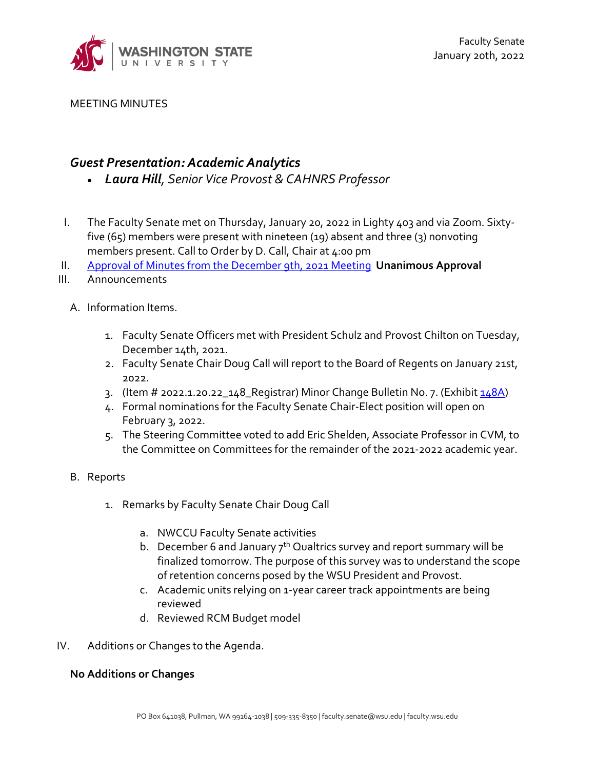

MEETING MINUTES

## *Guest Presentation: Academic Analytics*

- *Laura Hill, Senior Vice Provost & CAHNRS Professor*
- I. The Faculty Senate met on Thursday, January 20, 2022 in Lighty 403 and via Zoom. Sixtyfive (65) members were present with nineteen (19) absent and three (3) nonvoting members present. Call to Order by D. Call, Chair at 4:00 pm
- II. [Approval of Minutes from the December 9th, 2021 Meeting](https://s3.wp.wsu.edu/uploads/sites/2135/2021/12/FSM12.9.21.Minutes.pdf) **Unanimous Approval**
- III. Announcements
	- A. Information Items.
		- 1. Faculty Senate Officers met with President Schulz and Provost Chilton on Tuesday, December 14th, 2021.
		- 2. Faculty Senate Chair Doug Call will report to the Board of Regents on January 21st, 2022.
		- 3. (Item # 2022.1.20.22\_148\_Registrar) Minor Change Bulletin No. 7. (Exhibit [148A\)](https://s3.wp.wsu.edu/uploads/sites/2135/2022/01/148A-MCB-7.pdf)
		- 4. Formal nominations for the Faculty Senate Chair-Elect position will open on February 3, 2022.
		- 5. The Steering Committee voted to add Eric Shelden, Associate Professor in CVM, to the Committee on Committees for the remainder of the 2021-2022 academic year.
	- B. Reports
		- 1. Remarks by Faculty Senate Chair Doug Call
			- a. NWCCU Faculty Senate activities
			- b. December 6 and January  $7<sup>th</sup>$  Qualtrics survey and report summary will be finalized tomorrow. The purpose of this survey was to understand the scope of retention concerns posed by the WSU President and Provost.
			- c. Academic units relying on 1-year career track appointments are being reviewed
			- d. Reviewed RCM Budget model
- IV. Additions or Changes to the Agenda.

## **No Additions or Changes**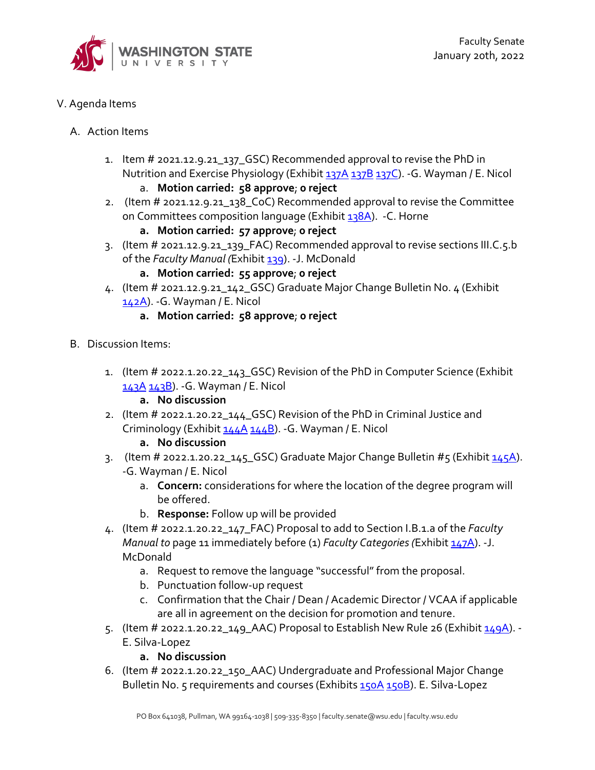

- V. Agenda Items
	- A. Action Items
		- 1. Item # 2021.12.9.21\_137\_GSC) Recommended approval to revise the PhD in Nutrition and Exercise Physiology (Exhibit [137A](https://s3.wp.wsu.edu/uploads/sites/2135/2021/12/137A-PhD-NEP.pdf) [137B](https://s3.wp.wsu.edu/uploads/sites/2135/2021/12/137B1.pdf) [137C\)](https://s3.wp.wsu.edu/uploads/sites/2135/2021/12/137C1.pdf). - G. Wayman / E. Nicol a. **Motion carried: 58 approve**; **0 reject**
		- 2. (Item # 2021.12.9.21\_138\_CoC) Recommended approval to revise the Committee on Committees composition language (Exhibi[t 138A\)](https://s3.wp.wsu.edu/uploads/sites/2135/2022/01/138A-CoC-Memorandum-V3-1.pdf). -C. Horne
			- **a. Motion carried: 57 approve**; **0 reject**
		- 3. (Item # 2021.12.9.21\_139\_FAC) Recommended approval to revise sections III.C.5.b of the *Faculty Manual (*Exhibit [139\)](https://s3.wp.wsu.edu/uploads/sites/2135/2021/12/139M1.pdf). -J. McDonald
			- **a. Motion carried: 55 approve**; **0 reject**
		- 4. (Item # 2021.12.9.21\_142\_GSC) Graduate Major Change Bulletin No. 4 (Exhibit [142A\)](https://s3.wp.wsu.edu/uploads/sites/2135/2021/12/142A-GMCB-4.pdf). -G. Wayman / E. Nicol
			- **a. Motion carried: 58 approve**; **0 reject**
	- B. Discussion Items:
		- 1. (Item # 2022.1.20.22\_143\_GSC) Revision of the PhD in Computer Science (Exhibit [143A](https://s3.wp.wsu.edu/uploads/sites/2135/2022/01/143A1.pdf) [143B\)](https://s3.wp.wsu.edu/uploads/sites/2135/2022/01/143B1.pdf). -G. Wayman / E. Nicol
			- **a. No discussion**
		- 2. (Item # 2022.1.20.22\_144\_GSC) Revision of the PhD in Criminal Justice and Criminology (Exhibi[t 144A](https://s3.wp.wsu.edu/uploads/sites/2135/2022/01/144A1.pdf) [144B\)](https://s3.wp.wsu.edu/uploads/sites/2135/2022/01/144B1.pdf). -G. Wayman / E. Nicol
			- **a. No discussion**
		- 3. (Item # 2022.1.20.22\_145\_GSC) Graduate Major Change Bulletin #5 (Exhibit  $\frac{145A}{1}$ . -G. Wayman / E. Nicol
			- a. **Concern:** considerations for where the location of the degree program will be offered.
			- b. **Response:** Follow up will be provided
		- 4. (Item # 2022.1.20.22\_147\_FAC) Proposal to add to Section I.B.1.a of the *Faculty Manual to* page 11 immediately before (1) *Faculty Categories (Exhibit* [147A\)](https://s3.wp.wsu.edu/uploads/sites/2135/2022/01/147A1.pdf). -J. McDonald
			- a. Request to remove the language "successful" from the proposal.
			- b. Punctuation follow-up request
			- c. Confirmation that the Chair / Dean / Academic Director / VCAA if applicable are all in agreement on the decision for promotion and tenure.
		- 5. (Item # 2022.1.20.22\_149\_AAC) Proposal to Establish New Rule 26 (Exhibit  $149A$ ). -E. Silva-Lopez
			- **a. No discussion**
		- 6. (Item # 2022.1.20.22\_150\_AAC) Undergraduate and Professional Major Change Bulletin No. 5 requirements and courses (Exhibit[s 150A](https://s3.wp.wsu.edu/uploads/sites/2135/2022/01/150A-upmcb-5-requirements.pdf) [150B\)](https://s3.wp.wsu.edu/uploads/sites/2135/2022/01/150B-upmcb-5-courses.pdf). E. Silva-Lopez